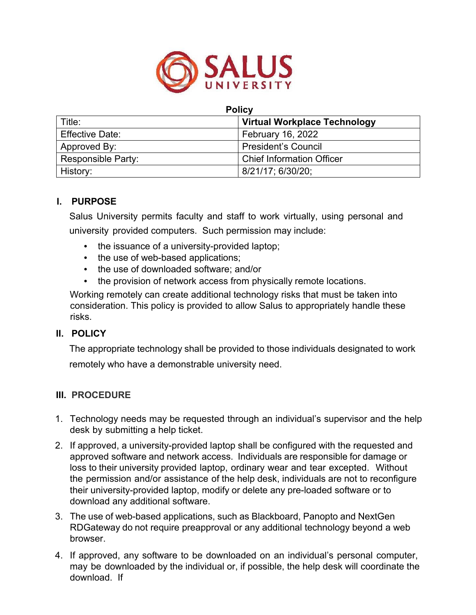

#### **Policy**

| Title:                 | <b>Virtual Workplace Technology</b> |
|------------------------|-------------------------------------|
| <b>Effective Date:</b> | <b>February 16, 2022</b>            |
| Approved By:           | <b>President's Council</b>          |
| Responsible Party:     | <b>Chief Information Officer</b>    |
| History:               | 8/21/17; 6/30/20;                   |

# **I. PURPOSE**

Salus University permits faculty and staff to work virtually, using personal and university provided computers. Such permission may include:

- the issuance of a university-provided laptop;
- the use of web-based applications;
- the use of downloaded software; and/or
- the provision of network access from physically remote locations.

Working remotely can create additional technology risks that must be taken into consideration. This policy is provided to allow Salus to appropriately handle these risks.

# **II. POLICY**

The appropriate technology shall be provided to those individuals designated to work remotely who have a demonstrable university need.

#### **III. PROCEDURE**

- 1. Technology needs may be requested through an individual's supervisor and the help desk by submitting a help ticket.
- 2. If approved, a university-provided laptop shall be configured with the requested and approved software and network access. Individuals are responsible for damage or loss to their university provided laptop, ordinary wear and tear excepted. Without the permission and/or assistance of the help desk, individuals are not to reconfigure their university-provided laptop, modify or delete any pre-loaded software or to download any additional software.
- 3. The use of web-based applications, such as Blackboard, Panopto and NextGen RDGateway do not require preapproval or any additional technology beyond a web browser.
- 4. If approved, any software to be downloaded on an individual's personal computer, may be downloaded by the individual or, if possible, the help desk will coordinate the download. If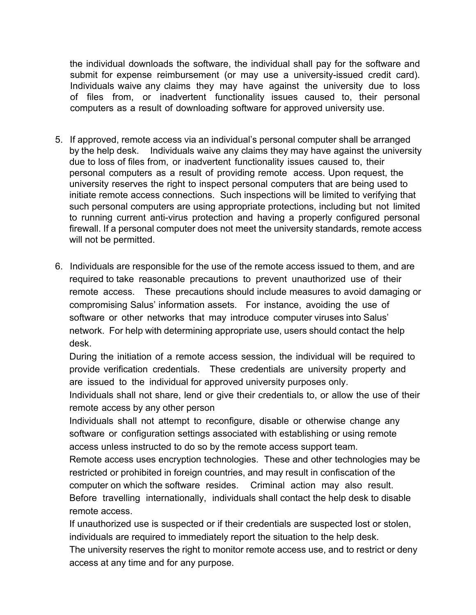the individual downloads the software, the individual shall pay for the software and submit for expense reimbursement (or may use a university-issued credit card). Individuals waive any claims they may have against the university due to loss of files from, or inadvertent functionality issues caused to, their personal computers as a result of downloading software for approved university use.

- 5. If approved, remote access via an individual's personal computer shall be arranged by the help desk. Individuals waive any claims they may have against the university due to loss of files from, or inadvertent functionality issues caused to, their personal computers as a result of providing remote access. Upon request, the university reserves the right to inspect personal computers that are being used to initiate remote access connections. Such inspections will be limited to verifying that such personal computers are using appropriate protections, including but not limited to running current anti-virus protection and having a properly configured personal firewall. If a personal computer does not meet the university standards, remote access will not be permitted.
- 6. Individuals are responsible for the use of the remote access issued to them, and are required to take reasonable precautions to prevent unauthorized use of their remote access. These precautions should include measures to avoid damaging or compromising Salus' information assets. For instance, avoiding the use of software or other networks that may introduce computer viruses into Salus' network. For help with determining appropriate use, users should contact the help desk.

During the initiation of a remote access session, the individual will be required to provide verification credentials. These credentials are university property and are issued to the individual for approved university purposes only.

Individuals shall not share, lend or give their credentials to, or allow the use of their remote access by any other person

Individuals shall not attempt to reconfigure, disable or otherwise change any software or configuration settings associated with establishing or using remote access unless instructed to do so by the remote access support team.

Remote access uses encryption technologies. These and other technologies may be restricted or prohibited in foreign countries, and may result in confiscation of the computer on which the software resides. Criminal action may also result. Before travelling internationally, individuals shall contact the help desk to disable remote access.

If unauthorized use is suspected or if their credentials are suspected lost or stolen, individuals are required to immediately report the situation to the help desk.

The university reserves the right to monitor remote access use, and to restrict or deny access at any time and for any purpose.